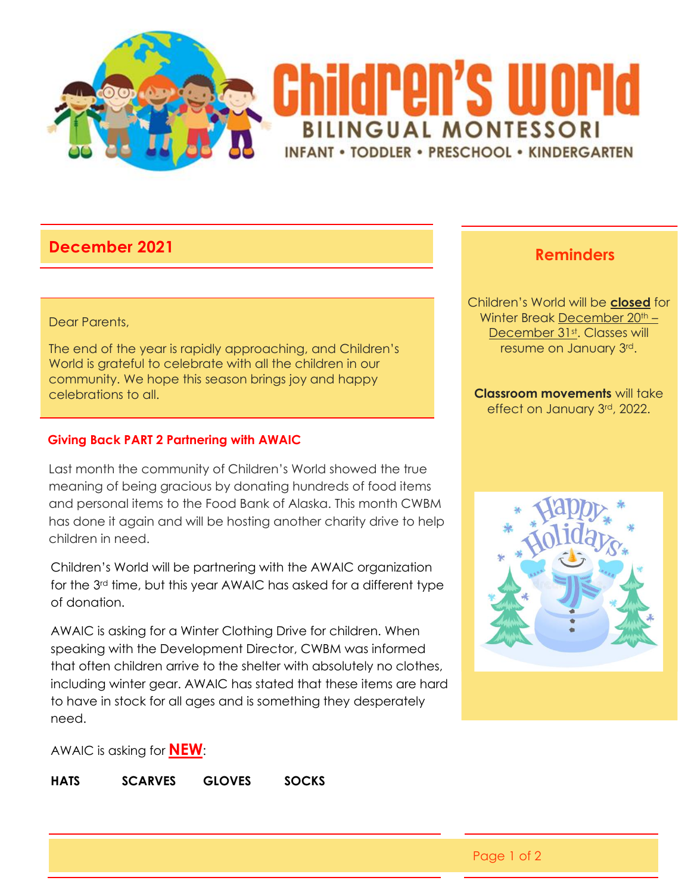

# **December 2021 Reminders**

### Dear Parents,

The end of the year is rapidly approaching, and Children's World is grateful to celebrate with all the children in our community. We hope this season brings joy and happy celebrations to all.

### **Giving Back PART 2 Partnering with AWAIC**

Last month the community of Children's World showed the true meaning of being gracious by donating hundreds of food items and personal items to the Food Bank of Alaska. This month CWBM has done it again and will be hosting another charity drive to help children in need.

Children's World will be partnering with the AWAIC organization for the 3rd time, but this year AWAIC has asked for a different type of donation.

AWAIC is asking for a Winter Clothing Drive for children. When speaking with the Development Director, CWBM was informed that often children arrive to the shelter with absolutely no clothes, including winter gear. AWAIC has stated that these items are hard to have in stock for all ages and is something they desperately need.

Children's World will be **closed** for Winter Break December 20<sup>th</sup> -December 31st. Classes will resume on January 3rd.

**Classroom movements** will take effect on January 3rd, 2022.



AWAIC is asking for **NEW**:

**HATS SCARVES GLOVES SOCKS**